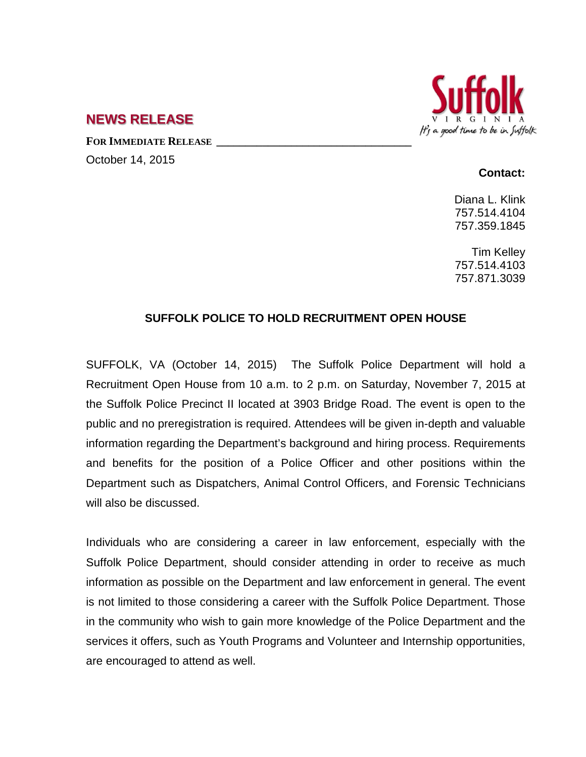

## **NEWS RELEASE**

**FOR IMMEDIATE RELEASE \_\_\_\_\_\_\_\_\_\_\_\_\_\_\_\_\_\_\_\_\_\_\_\_\_\_\_\_\_\_\_\_\_\_** October 14, 2015

## **Contact:**

Diana L. Klink 757.514.4104 757.359.1845

Tim Kelley 757.514.4103 757.871.3039

## **SUFFOLK POLICE TO HOLD RECRUITMENT OPEN HOUSE**

SUFFOLK, VA (October 14, 2015) The Suffolk Police Department will hold a Recruitment Open House from 10 a.m. to 2 p.m. on Saturday, November 7, 2015 at the Suffolk Police Precinct II located at 3903 Bridge Road. The event is open to the public and no preregistration is required. Attendees will be given in-depth and valuable information regarding the Department's background and hiring process. Requirements and benefits for the position of a Police Officer and other positions within the Department such as Dispatchers, Animal Control Officers, and Forensic Technicians will also be discussed.

Individuals who are considering a career in law enforcement, especially with the Suffolk Police Department, should consider attending in order to receive as much information as possible on the Department and law enforcement in general. The event is not limited to those considering a career with the Suffolk Police Department. Those in the community who wish to gain more knowledge of the Police Department and the services it offers, such as Youth Programs and Volunteer and Internship opportunities, are encouraged to attend as well.